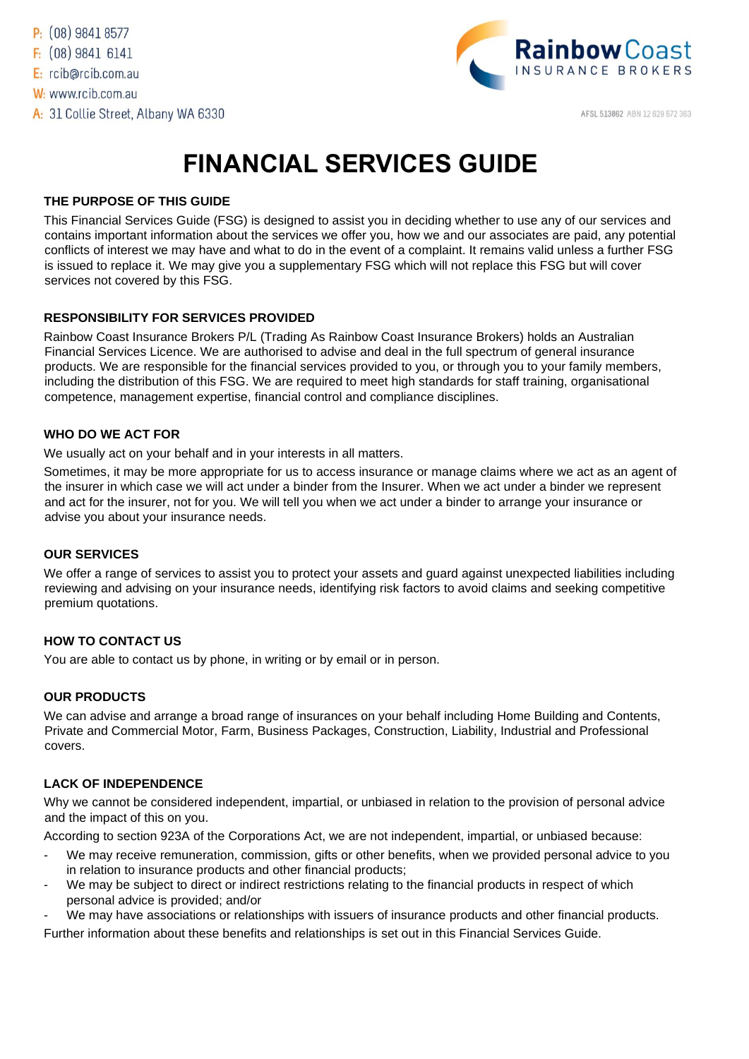

AFSL 513862 ABN 12 629 572 363

# **FINANCIAL SERVICES GUIDE**

# **THE PURPOSE OF THIS GUIDE**

This Financial Services Guide (FSG) is designed to assist you in deciding whether to use any of our services and contains important information about the services we offer you, how we and our associates are paid, any potential conflicts of interest we may have and what to do in the event of a complaint. It remains valid unless a further FSG is issued to replace it. We may give you a supplementary FSG which will not replace this FSG but will cover services not covered by this FSG.

# **RESPONSIBILITY FOR SERVICES PROVIDED**

Rainbow Coast Insurance Brokers P/L (Trading As Rainbow Coast Insurance Brokers) holds an Australian Financial Services Licence. We are authorised to advise and deal in the full spectrum of general insurance products. We are responsible for the financial services provided to you, or through you to your family members, including the distribution of this FSG. We are required to meet high standards for staff training, organisational competence, management expertise, financial control and compliance disciplines.

### **WHO DO WE ACT FOR**

We usually act on your behalf and in your interests in all matters.

Sometimes, it may be more appropriate for us to access insurance or manage claims where we act as an agent of the insurer in which case we will act under a binder from the Insurer. When we act under a binder we represent and act for the insurer, not for you. We will tell you when we act under a binder to arrange your insurance or advise you about your insurance needs.

### **OUR SERVICES**

We offer a range of services to assist you to protect your assets and guard against unexpected liabilities including reviewing and advising on your insurance needs, identifying risk factors to avoid claims and seeking competitive premium quotations.

### **HOW TO CONTACT US**

You are able to contact us by phone, in writing or by email or in person.

### **OUR PRODUCTS**

We can advise and arrange a broad range of insurances on your behalf including Home Building and Contents, Private and Commercial Motor, Farm, Business Packages, Construction, Liability, Industrial and Professional covers.

### **LACK OF INDEPENDENCE**

Why we cannot be considered independent, impartial, or unbiased in relation to the provision of personal advice and the impact of this on you.

According to section 923A of the Corporations Act, we are not independent, impartial, or unbiased because:

- We may receive remuneration, commission, gifts or other benefits, when we provided personal advice to you in relation to insurance products and other financial products;
- We may be subject to direct or indirect restrictions relating to the financial products in respect of which personal advice is provided; and/or
- We may have associations or relationships with issuers of insurance products and other financial products.

Further information about these benefits and relationships is set out in this Financial Services Guide.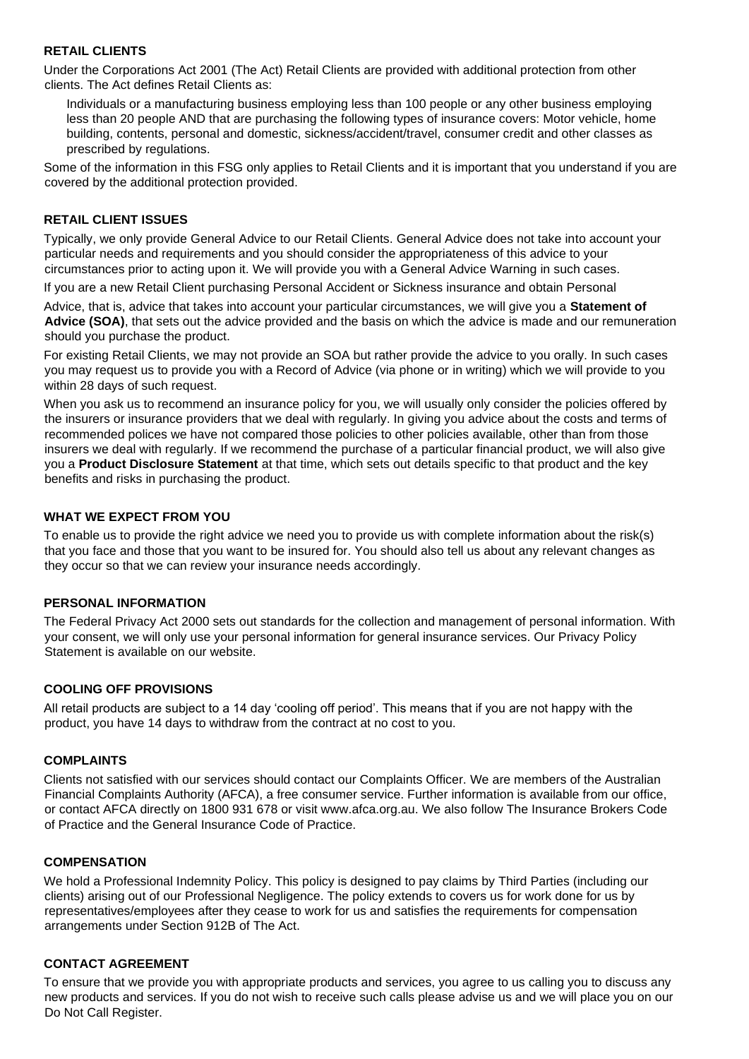## **RETAIL CLIENTS**

Under the Corporations Act 2001 (The Act) Retail Clients are provided with additional protection from other clients. The Act defines Retail Clients as:

Individuals or a manufacturing business employing less than 100 people or any other business employing less than 20 people AND that are purchasing the following types of insurance covers: Motor vehicle, home building, contents, personal and domestic, sickness/accident/travel, consumer credit and other classes as prescribed by regulations.

Some of the information in this FSG only applies to Retail Clients and it is important that you understand if you are covered by the additional protection provided.

## **RETAIL CLIENT ISSUES**

Typically, we only provide General Advice to our Retail Clients. General Advice does not take into account your particular needs and requirements and you should consider the appropriateness of this advice to your circumstances prior to acting upon it. We will provide you with a General Advice Warning in such cases.

If you are a new Retail Client purchasing Personal Accident or Sickness insurance and obtain Personal

Advice, that is, advice that takes into account your particular circumstances, we will give you a **Statement of Advice (SOA)**, that sets out the advice provided and the basis on which the advice is made and our remuneration should you purchase the product.

For existing Retail Clients, we may not provide an SOA but rather provide the advice to you orally. In such cases you may request us to provide you with a Record of Advice (via phone or in writing) which we will provide to you within 28 days of such request.

When you ask us to recommend an insurance policy for you, we will usually only consider the policies offered by the insurers or insurance providers that we deal with regularly. In giving you advice about the costs and terms of recommended polices we have not compared those policies to other policies available, other than from those insurers we deal with regularly. If we recommend the purchase of a particular financial product, we will also give you a **Product Disclosure Statement** at that time, which sets out details specific to that product and the key benefits and risks in purchasing the product.

### **WHAT WE EXPECT FROM YOU**

To enable us to provide the right advice we need you to provide us with complete information about the risk(s) that you face and those that you want to be insured for. You should also tell us about any relevant changes as they occur so that we can review your insurance needs accordingly.

### **PERSONAL INFORMATION**

The Federal Privacy Act 2000 sets out standards for the collection and management of personal information. With your consent, we will only use your personal information for general insurance services. Our Privacy Policy Statement is available on our website.

### **COOLING OFF PROVISIONS**

All retail products are subject to a 14 day 'cooling off period'. This means that if you are not happy with the product, you have 14 days to withdraw from the contract at no cost to you.

### **COMPLAINTS**

Clients not satisfied with our services should contact our Complaints Officer. We are members of the Australian Financial Complaints Authority (AFCA), a free consumer service. Further information is available from our office, or contact AFCA directly on 1800 931 678 or visit www.afca.org.au. We also follow The Insurance Brokers Code of Practice and the General Insurance Code of Practice.

### **COMPENSATION**

We hold a Professional Indemnity Policy. This policy is designed to pay claims by Third Parties (including our clients) arising out of our Professional Negligence. The policy extends to covers us for work done for us by representatives/employees after they cease to work for us and satisfies the requirements for compensation arrangements under Section 912B of The Act.

### **CONTACT AGREEMENT**

To ensure that we provide you with appropriate products and services, you agree to us calling you to discuss any new products and services. If you do not wish to receive such calls please advise us and we will place you on our Do Not Call Register.